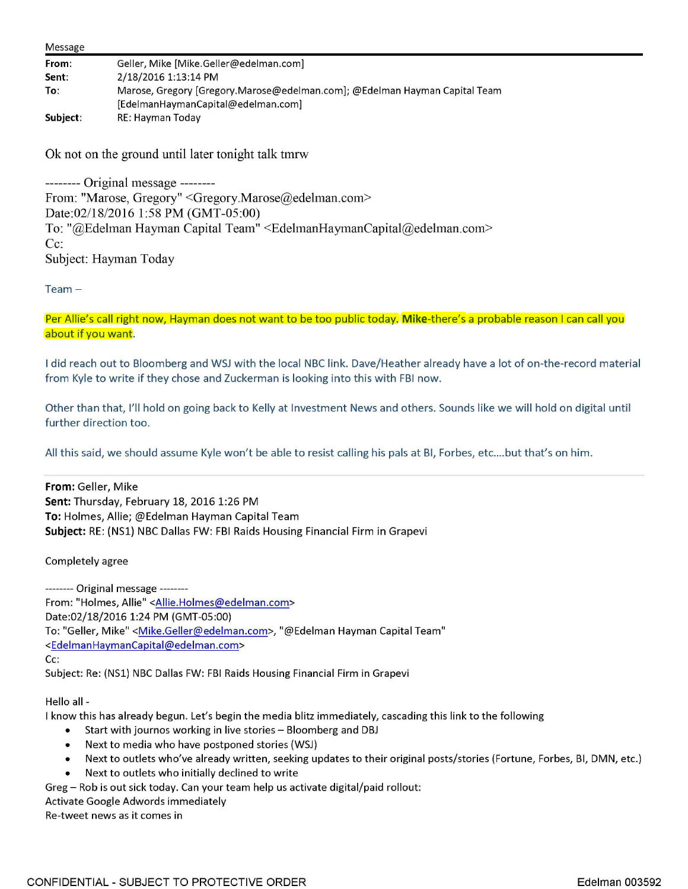| Message  |                                                                            |
|----------|----------------------------------------------------------------------------|
| From:    | Geller, Mike [Mike.Geller@edelman.com]                                     |
| Sent:    | 2/18/2016 1:13:14 PM                                                       |
| To:      | Marose, Gregory [Gregory.Marose@edelman.com]; @Edelman Hayman Capital Team |
|          | [EdelmanHaymanCapital@edelman.com]                                         |
| Subject: | RE: Hayman Today                                                           |

Ok not on the ground until later tonight talk tmrw

-------- Original message -------- From: "Marose, Gregory" <Gregory.Marose@edelman.com> Date:02/18/2016 1:58 PM (GMT-05:00) To: "@Edelman Hayman Capital Team" <EdelmanHaymanCapital@edelman.com> Cc: Subject: Hayman Today

Team-

Per Allie's call right now, Hayman does not want to be too public today. **Mike-there's** a probable reason I can call you about if you want.

I did reach out to Bloomberg and WSJ with the local NBC link. Dave/Heather already have a lot of on-the-record material from Kyle to write if they chose and Zuckerman is looking into this with FBI now.

Other than that, I'll hold on going back to Kelly at Investment News and others. Sounds like we will hold on digital until further direction too.

All this said, we should assume Kyle won't be able to resist calling his pals at BI, Forbes, etc....but that's on him.

**From:** Geller, Mike **Sent:** Thursday, February 18, 2016 1:26 PM **To:** Holmes, Allie; @Edelman Hayman Capital Team **Subject:** RE: (NSl) NBC Dallas FW: FBI Raids Housing Financial Firm in Grapevi

Completely agree

-------- Original message-------- From: "Holmes, Allie" <Allie.Holmes@edelman.com> Date:02/18/2016 1:24 PM (GMT-05:00) To: "Geller, Mike" < Mike.Geller@edelman.com>, "@Edelman Hayman Capital Team" <EdelmanHaymanCapital@edelman.com> Cc: Subject: Re: (NSl) NBC Dallas FW: FBI Raids Housing Financial Firm in Grapevi

Hello all -

I know this has already begun. Let's begin the media blitz immediately, cascading this link to the following

- Start with journos working in live stories Bloomberg and DBJ
- Next to media who have postponed stories (WSJ)
- Next to outlets who've already written, seeking updates to their original posts/stories (Fortune, Forbes, Bl, DMN, etc.)
- Next to outlets who initially declined to write

Greg - Rob is out sick today. Can your team help us activate digital/paid rollout:

Activate Google Adwords immediately

Re-tweet news as it comes in